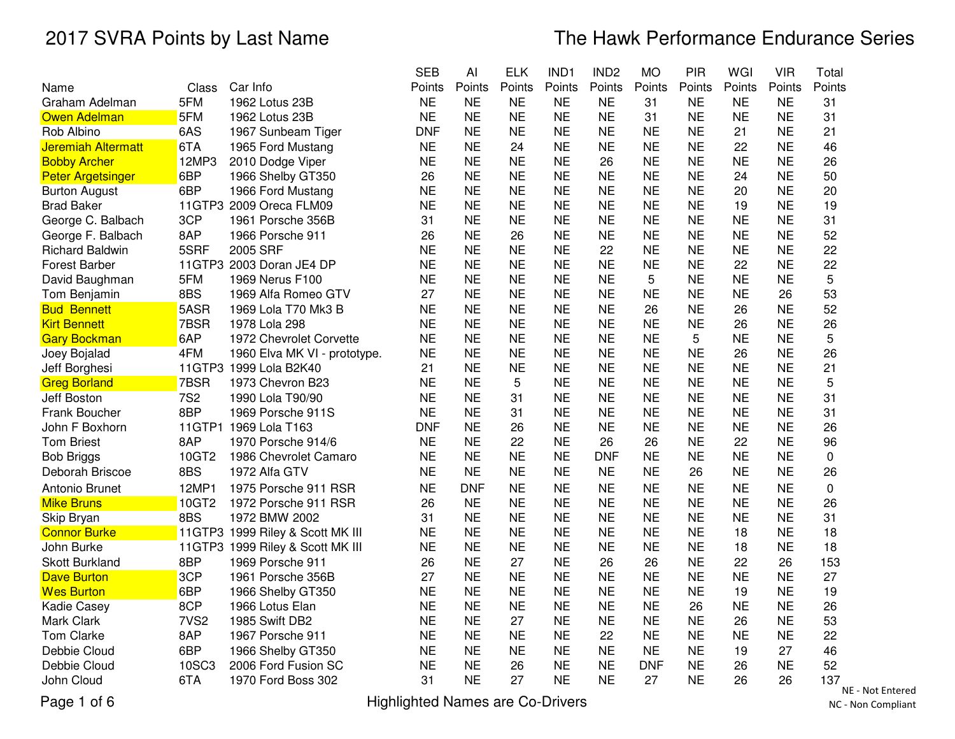|                           |                  |                                  | <b>SEB</b> | AI        | <b>ELK</b> | IND1      | IND <sub>2</sub> | <b>MO</b>  | PIR       | WGI       | <b>VIR</b> | Total     |
|---------------------------|------------------|----------------------------------|------------|-----------|------------|-----------|------------------|------------|-----------|-----------|------------|-----------|
| Name                      | Class            | Car Info                         | Points     | Points    | Points     | Points    | Points           | Points     | Points    | Points    | Points     | Points    |
| Graham Adelman            | 5FM              | 1962 Lotus 23B                   | <b>NE</b>  | <b>NE</b> | <b>NE</b>  | <b>NE</b> | <b>NE</b>        | 31         | <b>NE</b> | <b>NE</b> | NE         | 31        |
| <b>Owen Adelman</b>       | 5FM              | 1962 Lotus 23B                   | <b>NE</b>  | <b>NE</b> | <b>NE</b>  | <b>NE</b> | <b>NE</b>        | 31         | <b>NE</b> | <b>NE</b> | <b>NE</b>  | 31        |
| Rob Albino                | 6AS              | 1967 Sunbeam Tiger               | <b>DNF</b> | <b>NE</b> | <b>NE</b>  | <b>NE</b> | <b>NE</b>        | <b>NE</b>  | <b>NE</b> | 21        | <b>NE</b>  | 21        |
| <b>Jeremiah Altermatt</b> | 6TA              | 1965 Ford Mustang                | <b>NE</b>  | <b>NE</b> | 24         | <b>NE</b> | <b>NE</b>        | <b>NE</b>  | <b>NE</b> | 22        | <b>NE</b>  | 46        |
| <b>Bobby Archer</b>       | 12MP3            | 2010 Dodge Viper                 | <b>NE</b>  | <b>NE</b> | <b>NE</b>  | <b>NE</b> | 26               | <b>NE</b>  | <b>NE</b> | <b>NE</b> | <b>NE</b>  | 26        |
| <b>Peter Argetsinger</b>  | 6BP              | 1966 Shelby GT350                | 26         | <b>NE</b> | <b>NE</b>  | <b>NE</b> | <b>NE</b>        | <b>NE</b>  | <b>NE</b> | 24        | <b>NE</b>  | 50        |
| <b>Burton August</b>      | 6BP              | 1966 Ford Mustang                | <b>NE</b>  | <b>NE</b> | <b>NE</b>  | <b>NE</b> | <b>NE</b>        | <b>NE</b>  | <b>NE</b> | 20        | <b>NE</b>  | 20        |
| <b>Brad Baker</b>         |                  | 11GTP3 2009 Oreca FLM09          | <b>NE</b>  | <b>NE</b> | <b>NE</b>  | <b>NE</b> | <b>NE</b>        | <b>NE</b>  | <b>NE</b> | 19        | <b>NE</b>  | 19        |
| George C. Balbach         | 3CP              | 1961 Porsche 356B                | 31         | <b>NE</b> | <b>NE</b>  | <b>NE</b> | <b>NE</b>        | <b>NE</b>  | <b>NE</b> | <b>NE</b> | <b>NE</b>  | 31        |
| George F. Balbach         | 8AP              | 1966 Porsche 911                 | 26         | <b>NE</b> | 26         | <b>NE</b> | <b>NE</b>        | <b>NE</b>  | <b>NE</b> | <b>NE</b> | <b>NE</b>  | 52        |
| <b>Richard Baldwin</b>    | 5SRF             | 2005 SRF                         | <b>NE</b>  | <b>NE</b> | <b>NE</b>  | <b>NE</b> | 22               | <b>NE</b>  | <b>NE</b> | <b>NE</b> | <b>NE</b>  | 22        |
| <b>Forest Barber</b>      |                  | 11GTP3 2003 Doran JE4 DP         | <b>NE</b>  | <b>NE</b> | <b>NE</b>  | <b>NE</b> | <b>NE</b>        | <b>NE</b>  | <b>NE</b> | 22        | <b>NE</b>  | 22        |
| David Baughman            | 5FM              | 1969 Nerus F100                  | <b>NE</b>  | <b>NE</b> | <b>NE</b>  | <b>NE</b> | <b>NE</b>        | 5          | <b>NE</b> | <b>NE</b> | <b>NE</b>  | 5         |
| Tom Benjamin              | 8BS              | 1969 Alfa Romeo GTV              | 27         | <b>NE</b> | <b>NE</b>  | <b>NE</b> | <b>NE</b>        | <b>NE</b>  | <b>NE</b> | <b>NE</b> | 26         | 53        |
| <b>Bud Bennett</b>        | 5ASR             | 1969 Lola T70 Mk3 B              | <b>NE</b>  | <b>NE</b> | <b>NE</b>  | <b>NE</b> | <b>NE</b>        | 26         | <b>NE</b> | 26        | <b>NE</b>  | 52        |
| <b>Kirt Bennett</b>       | 7BSR             | 1978 Lola 298                    | <b>NE</b>  | <b>NE</b> | <b>NE</b>  | <b>NE</b> | <b>NE</b>        | <b>NE</b>  | <b>NE</b> | 26        | <b>NE</b>  | 26        |
| <b>Gary Bockman</b>       | 6AP              | 1972 Chevrolet Corvette          | <b>NE</b>  | <b>NE</b> | <b>NE</b>  | <b>NE</b> | <b>NE</b>        | <b>NE</b>  | 5         | <b>NE</b> | <b>NE</b>  | 5         |
| Joey Bojalad              | 4FM              | 1960 Elva MK VI - prototype.     | <b>NE</b>  | <b>NE</b> | <b>NE</b>  | <b>NE</b> | <b>NE</b>        | <b>NE</b>  | <b>NE</b> | 26        | <b>NE</b>  | 26        |
| Jeff Borghesi             |                  | 11GTP3 1999 Lola B2K40           | 21         | <b>NE</b> | <b>NE</b>  | <b>NE</b> | <b>NE</b>        | <b>NE</b>  | <b>NE</b> | <b>NE</b> | <b>NE</b>  | 21        |
| <b>Greg Borland</b>       | 7BSR             | 1973 Chevron B23                 | <b>NE</b>  | <b>NE</b> | 5          | <b>NE</b> | <b>NE</b>        | <b>NE</b>  | <b>NE</b> | <b>NE</b> | <b>NE</b>  | 5         |
| Jeff Boston               | <b>7S2</b>       | 1990 Lola T90/90                 | <b>NE</b>  | <b>NE</b> | 31         | <b>NE</b> | <b>NE</b>        | <b>NE</b>  | <b>NE</b> | <b>NE</b> | <b>NE</b>  | 31        |
| Frank Boucher             | 8BP              | 1969 Porsche 911S                | NE         | <b>NE</b> | 31         | <b>NE</b> | <b>NE</b>        | <b>NE</b>  | <b>NE</b> | <b>NE</b> | <b>NE</b>  | 31        |
| John F Boxhorn            |                  | 11GTP1 1969 Lola T163            | <b>DNF</b> | <b>NE</b> | 26         | <b>NE</b> | <b>NE</b>        | <b>NE</b>  | <b>NE</b> | <b>NE</b> | <b>NE</b>  | 26        |
| <b>Tom Briest</b>         | 8AP              | 1970 Porsche 914/6               | <b>NE</b>  | <b>NE</b> | 22         | <b>NE</b> | 26               | 26         | <b>NE</b> | 22        | <b>NE</b>  | 96        |
| <b>Bob Briggs</b>         | 10GT2            | 1986 Chevrolet Camaro            | <b>NE</b>  | <b>NE</b> | <b>NE</b>  | <b>NE</b> | <b>DNF</b>       | <b>NE</b>  | <b>NE</b> | <b>NE</b> | <b>NE</b>  | 0         |
| Deborah Briscoe           | 8BS              | 1972 Alfa GTV                    | <b>NE</b>  | <b>NE</b> | <b>NE</b>  | <b>NE</b> | <b>NE</b>        | <b>NE</b>  | 26        | <b>NE</b> | <b>NE</b>  | 26        |
| Antonio Brunet            | 12MP1            | 1975 Porsche 911 RSR             | <b>NE</b>  | DNF       | <b>NE</b>  | <b>NE</b> | <b>NE</b>        | <b>NE</b>  | <b>NE</b> | <b>NE</b> | <b>NE</b>  | 0         |
| <b>Mike Bruns</b>         | 10GT2            | 1972 Porsche 911 RSR             | 26         | <b>NE</b> | <b>NE</b>  | <b>NE</b> | <b>NE</b>        | <b>NE</b>  | <b>NE</b> | <b>NE</b> | <b>NE</b>  | 26        |
| Skip Bryan                | 8BS              | 1972 BMW 2002                    | 31         | <b>NE</b> | <b>NE</b>  | <b>NE</b> | <b>NE</b>        | <b>NE</b>  | <b>NE</b> | <b>NE</b> | <b>NE</b>  | 31        |
| <b>Connor Burke</b>       |                  | 11GTP3 1999 Riley & Scott MK III | <b>NE</b>  | <b>NE</b> | <b>NE</b>  | <b>NE</b> | <b>NE</b>        | <b>NE</b>  | <b>NE</b> | 18        | <b>NE</b>  | 18        |
| John Burke                |                  | 11GTP3 1999 Riley & Scott MK III | <b>NE</b>  | <b>NE</b> | <b>NE</b>  | <b>NE</b> | <b>NE</b>        | <b>NE</b>  | <b>NE</b> | 18        | <b>NE</b>  | 18        |
| <b>Skott Burkland</b>     | 8BP              | 1969 Porsche 911                 | 26         | <b>NE</b> | 27         | <b>NE</b> | 26               | 26         | <b>NE</b> | 22        | 26         | 153       |
| <b>Dave Burton</b>        | 3CP              | 1961 Porsche 356B                | 27         | <b>NE</b> | <b>NE</b>  | <b>NE</b> | <b>NE</b>        | <b>NE</b>  | <b>NE</b> | <b>NE</b> | <b>NE</b>  | 27        |
| <b>Wes Burton</b>         | 6BP              | 1966 Shelby GT350                | <b>NE</b>  | <b>NE</b> | <b>NE</b>  | <b>NE</b> | <b>NE</b>        | <b>NE</b>  | <b>NE</b> | 19        | <b>NE</b>  | 19        |
| Kadie Casey               | 8CP              | 1966 Lotus Elan                  | <b>NE</b>  | <b>NE</b> | <b>NE</b>  | <b>NE</b> | <b>NE</b>        | <b>NE</b>  | 26        | <b>NE</b> | <b>NE</b>  | 26        |
| Mark Clark                | 7VS <sub>2</sub> | 1985 Swift DB2                   | <b>NE</b>  | <b>NE</b> | 27         | <b>NE</b> | <b>NE</b>        | <b>NE</b>  | <b>NE</b> | 26        | <b>NE</b>  | 53        |
| <b>Tom Clarke</b>         | 8AP              | 1967 Porsche 911                 | <b>NE</b>  | <b>NE</b> | <b>NE</b>  | <b>NE</b> | 22               | <b>NE</b>  | <b>NE</b> | <b>NE</b> | <b>NE</b>  | 22        |
| Debbie Cloud              | 6BP              | 1966 Shelby GT350                | <b>NE</b>  | <b>NE</b> | <b>NE</b>  | <b>NE</b> | <b>NE</b>        | <b>NE</b>  | <b>NE</b> | 19        | 27         | 46        |
| Debbie Cloud              | 10SC3            | 2006 Ford Fusion SC              | <b>NE</b>  | <b>NE</b> | 26         | <b>NE</b> | <b>NE</b>        | <b>DNF</b> | <b>NE</b> | 26        | <b>NE</b>  | 52        |
| John Cloud                | 6TA              | 1970 Ford Boss 302               | 31         | <b>NE</b> | 27         | <b>NE</b> | <b>NE</b>        | 27         | <b>NE</b> | 26        | 26         | 137<br>NF |

Page 1 of 6

Highlighted Names are Co-Drivers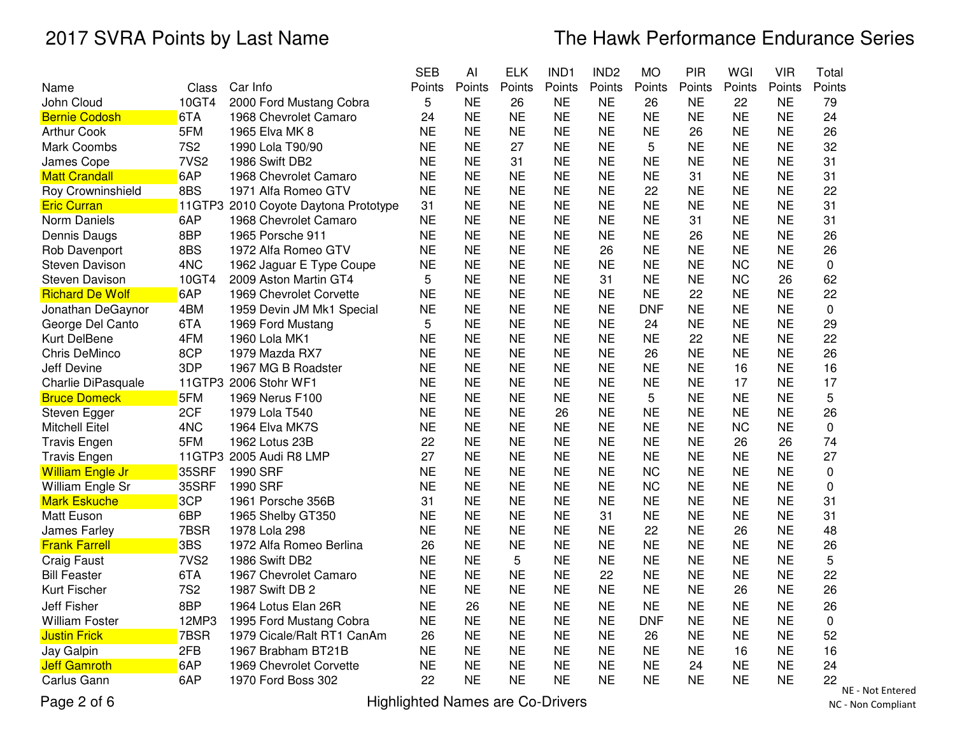|                         |                  |                                      | <b>SEB</b> | Al        | <b>ELK</b> | IND1      | IND <sub>2</sub> | <b>MO</b>  | PIR       | WGI       | <b>VIR</b> | Total              |
|-------------------------|------------------|--------------------------------------|------------|-----------|------------|-----------|------------------|------------|-----------|-----------|------------|--------------------|
| Name                    | Class            | Car Info                             | Points     | Points    | Points     | Points    | Points           | Points     | Points    | Points    | Points     | Points             |
| John Cloud              | 10GT4            | 2000 Ford Mustang Cobra              | 5          | <b>NE</b> | 26         | <b>NE</b> | <b>NE</b>        | 26         | <b>NE</b> | 22        | <b>NE</b>  | 79                 |
| <b>Bernie Codosh</b>    | 6TA              | 1968 Chevrolet Camaro                | 24         | <b>NE</b> | <b>NE</b>  | <b>NE</b> | <b>NE</b>        | <b>NE</b>  | <b>NE</b> | <b>NE</b> | <b>NE</b>  | 24                 |
| <b>Arthur Cook</b>      | 5FM              | 1965 Elva MK 8                       | <b>NE</b>  | <b>NE</b> | <b>NE</b>  | <b>NE</b> | <b>NE</b>        | <b>NE</b>  | 26        | <b>NE</b> | <b>NE</b>  | 26                 |
| Mark Coombs             | <b>7S2</b>       | 1990 Lola T90/90                     | <b>NE</b>  | <b>NE</b> | 27         | <b>NE</b> | <b>NE</b>        | 5          | <b>NE</b> | <b>NE</b> | <b>NE</b>  | 32                 |
| James Cope              | 7VS <sub>2</sub> | 1986 Swift DB2                       | <b>NE</b>  | <b>NE</b> | 31         | <b>NE</b> | <b>NE</b>        | <b>NE</b>  | <b>NE</b> | <b>NE</b> | <b>NE</b>  | 31                 |
| <b>Matt Crandall</b>    | 6AP              | 1968 Chevrolet Camaro                | <b>NE</b>  | <b>NE</b> | <b>NE</b>  | <b>NE</b> | <b>NE</b>        | <b>NE</b>  | 31        | <b>NE</b> | <b>NE</b>  | 31                 |
| Roy Crowninshield       | 8BS              | 1971 Alfa Romeo GTV                  | <b>NE</b>  | <b>NE</b> | <b>NE</b>  | <b>NE</b> | <b>NE</b>        | 22         | <b>NE</b> | <b>NE</b> | <b>NE</b>  | 22                 |
| <b>Eric Curran</b>      |                  | 11GTP3 2010 Coyote Daytona Prototype | 31         | <b>NE</b> | <b>NE</b>  | <b>NE</b> | <b>NE</b>        | <b>NE</b>  | <b>NE</b> | <b>NE</b> | <b>NE</b>  | 31                 |
| Norm Daniels            | 6AP              | 1968 Chevrolet Camaro                | <b>NE</b>  | <b>NE</b> | <b>NE</b>  | <b>NE</b> | <b>NE</b>        | <b>NE</b>  | 31        | <b>NE</b> | <b>NE</b>  | 31                 |
| Dennis Daugs            | 8BP              | 1965 Porsche 911                     | <b>NE</b>  | <b>NE</b> | <b>NE</b>  | <b>NE</b> | <b>NE</b>        | <b>NE</b>  | 26        | <b>NE</b> | <b>NE</b>  | 26                 |
| Rob Davenport           | 8BS              | 1972 Alfa Romeo GTV                  | <b>NE</b>  | <b>NE</b> | <b>NE</b>  | <b>NE</b> | 26               | <b>NE</b>  | <b>NE</b> | <b>NE</b> | <b>NE</b>  | 26                 |
| <b>Steven Davison</b>   | 4NC              | 1962 Jaguar E Type Coupe             | <b>NE</b>  | <b>NE</b> | <b>NE</b>  | <b>NE</b> | <b>NE</b>        | <b>NE</b>  | <b>NE</b> | <b>NC</b> | <b>NE</b>  | 0                  |
| <b>Steven Davison</b>   | 10GT4            | 2009 Aston Martin GT4                | 5          | <b>NE</b> | <b>NE</b>  | <b>NE</b> | 31               | <b>NE</b>  | <b>NE</b> | <b>NC</b> | 26         | 62                 |
| <b>Richard De Wolf</b>  | 6AP              | 1969 Chevrolet Corvette              | <b>NE</b>  | <b>NE</b> | <b>NE</b>  | <b>NE</b> | <b>NE</b>        | <b>NE</b>  | 22        | <b>NE</b> | <b>NE</b>  | 22                 |
| Jonathan DeGaynor       | 4BM              | 1959 Devin JM Mk1 Special            | <b>NE</b>  | <b>NE</b> | <b>NE</b>  | <b>NE</b> | <b>NE</b>        | <b>DNF</b> | <b>NE</b> | <b>NE</b> | <b>NE</b>  | 0                  |
| George Del Canto        | 6TA              | 1969 Ford Mustang                    | 5          | <b>NE</b> | <b>NE</b>  | <b>NE</b> | <b>NE</b>        | 24         | <b>NE</b> | <b>NE</b> | <b>NE</b>  | 29                 |
| Kurt DelBene            | 4FM              | 1960 Lola MK1                        | <b>NE</b>  | <b>NE</b> | <b>NE</b>  | <b>NE</b> | <b>NE</b>        | <b>NE</b>  | 22        | <b>NE</b> | <b>NE</b>  | 22                 |
| Chris DeMinco           | 8CP              | 1979 Mazda RX7                       | <b>NE</b>  | <b>NE</b> | <b>NE</b>  | <b>NE</b> | <b>NE</b>        | 26         | <b>NE</b> | <b>NE</b> | <b>NE</b>  | 26                 |
| <b>Jeff Devine</b>      | 3DP              | 1967 MG B Roadster                   | <b>NE</b>  | <b>NE</b> | <b>NE</b>  | <b>NE</b> | <b>NE</b>        | <b>NE</b>  | <b>NE</b> | 16        | <b>NE</b>  | 16                 |
| Charlie DiPasquale      |                  | 11GTP3 2006 Stohr WF1                | <b>NE</b>  | <b>NE</b> | <b>NE</b>  | <b>NE</b> | <b>NE</b>        | <b>NE</b>  | <b>NE</b> | 17        | <b>NE</b>  | 17                 |
| <b>Bruce Domeck</b>     | 5FM              | 1969 Nerus F100                      | <b>NE</b>  | <b>NE</b> | <b>NE</b>  | <b>NE</b> | <b>NE</b>        | 5          | <b>NE</b> | <b>NE</b> | <b>NE</b>  | 5                  |
| Steven Egger            | 2CF              | 1979 Lola T540                       | <b>NE</b>  | <b>NE</b> | <b>NE</b>  | 26        | <b>NE</b>        | <b>NE</b>  | <b>NE</b> | <b>NE</b> | <b>NE</b>  | 26                 |
| <b>Mitchell Eitel</b>   | 4NC              | 1964 Elva MK7S                       | NE         | <b>NE</b> | <b>NE</b>  | <b>NE</b> | <b>NE</b>        | <b>NE</b>  | NE        | <b>NC</b> | <b>NE</b>  | $\mathbf 0$        |
| <b>Travis Engen</b>     | 5FM              | 1962 Lotus 23B                       | 22         | <b>NE</b> | <b>NE</b>  | <b>NE</b> | <b>NE</b>        | <b>NE</b>  | <b>NE</b> | 26        | 26         | 74                 |
| <b>Travis Engen</b>     |                  | 11GTP3 2005 Audi R8 LMP              | 27         | <b>NE</b> | <b>NE</b>  | <b>NE</b> | <b>NE</b>        | <b>NE</b>  | <b>NE</b> | <b>NE</b> | <b>NE</b>  | 27                 |
| <b>William Engle Jr</b> | 35SRF            | 1990 SRF                             | <b>NE</b>  | <b>NE</b> | <b>NE</b>  | <b>NE</b> | <b>NE</b>        | <b>NC</b>  | <b>NE</b> | <b>NE</b> | <b>NE</b>  | 0                  |
| William Engle Sr        | 35SRF            | 1990 SRF                             | <b>NE</b>  | <b>NE</b> | <b>NE</b>  | <b>NE</b> | <b>NE</b>        | <b>NC</b>  | <b>NE</b> | <b>NE</b> | <b>NE</b>  | 0                  |
| <b>Mark Eskuche</b>     | 3CP              | 1961 Porsche 356B                    | 31         | <b>NE</b> | <b>NE</b>  | <b>NE</b> | <b>NE</b>        | <b>NE</b>  | <b>NE</b> | <b>NE</b> | <b>NE</b>  | 31                 |
| <b>Matt Euson</b>       | 6BP              | 1965 Shelby GT350                    | <b>NE</b>  | <b>NE</b> | <b>NE</b>  | <b>NE</b> | 31               | <b>NE</b>  | <b>NE</b> | <b>NE</b> | <b>NE</b>  | 31                 |
| James Farley            | 7BSR             | 1978 Lola 298                        | <b>NE</b>  | <b>NE</b> | <b>NE</b>  | <b>NE</b> | <b>NE</b>        | 22         | <b>NE</b> | 26        | <b>NE</b>  | 48                 |
| <b>Frank Farrell</b>    | 3BS              | 1972 Alfa Romeo Berlina              | 26         | <b>NE</b> | <b>NE</b>  | <b>NE</b> | <b>NE</b>        | <b>NE</b>  | <b>NE</b> | <b>NE</b> | <b>NE</b>  | 26                 |
| <b>Craig Faust</b>      | 7VS <sub>2</sub> | 1986 Swift DB2                       | <b>NE</b>  | <b>NE</b> | 5          | <b>NE</b> | <b>NE</b>        | <b>NE</b>  | <b>NE</b> | <b>NE</b> | <b>NE</b>  | 5                  |
| <b>Bill Feaster</b>     | 6TA              | 1967 Chevrolet Camaro                | <b>NE</b>  | <b>NE</b> | <b>NE</b>  | <b>NE</b> | 22               | <b>NE</b>  | <b>NE</b> | <b>NE</b> | <b>NE</b>  | 22                 |
| Kurt Fischer            | <b>7S2</b>       | 1987 Swift DB 2                      | <b>NE</b>  | <b>NE</b> | <b>NE</b>  | <b>NE</b> | <b>NE</b>        | <b>NE</b>  | <b>NE</b> | 26        | <b>NE</b>  | 26                 |
| <b>Jeff Fisher</b>      | 8BP              | 1964 Lotus Elan 26R                  | <b>NE</b>  | 26        | <b>NE</b>  | <b>NE</b> | <b>NE</b>        | <b>NE</b>  | <b>NE</b> | <b>NE</b> | <b>NE</b>  | 26                 |
| <b>William Foster</b>   | 12MP3            | 1995 Ford Mustang Cobra              | <b>NE</b>  | <b>NE</b> | <b>NE</b>  | <b>NE</b> | <b>NE</b>        | <b>DNF</b> | <b>NE</b> | <b>NE</b> | <b>NE</b>  | 0                  |
| <b>Justin Frick</b>     | 7BSR             | 1979 Cicale/Ralt RT1 CanAm           | 26         | <b>NE</b> | <b>NE</b>  | <b>NE</b> | <b>NE</b>        | 26         | <b>NE</b> | <b>NE</b> | <b>NE</b>  | 52                 |
| Jay Galpin              | 2FB              | 1967 Brabham BT21B                   | <b>NE</b>  | <b>NE</b> | <b>NE</b>  | <b>NE</b> | <b>NE</b>        | <b>NE</b>  | <b>NE</b> | 16        | <b>NE</b>  | 16                 |
| <b>Jeff Gamroth</b>     | 6AP              | 1969 Chevrolet Corvette              | <b>NE</b>  | <b>NE</b> | <b>NE</b>  | <b>NE</b> | <b>NE</b>        | <b>NE</b>  | 24        | <b>NE</b> | <b>NE</b>  | 24                 |
| Carlus Gann             | 6AP              | 1970 Ford Boss 302                   | 22         | <b>NE</b> | <b>NE</b>  | <b>NE</b> | <b>NE</b>        | <b>NE</b>  | <b>NE</b> | <b>NE</b> | <b>NE</b>  | 22<br>$\mathbf{M}$ |

Page 2 of 6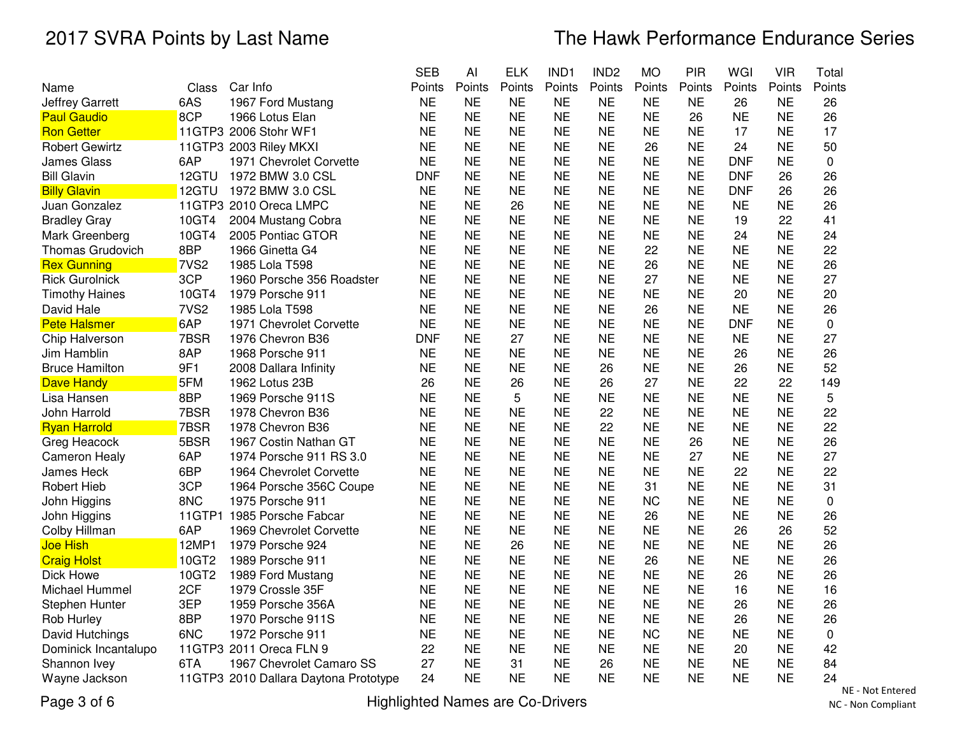|                                        |       |                                       | <b>SEB</b> | Al        | <b>ELK</b> | IND1      | IND <sub>2</sub> | <b>MO</b> | PIR       | WGI        | <b>VIR</b> | Total       |
|----------------------------------------|-------|---------------------------------------|------------|-----------|------------|-----------|------------------|-----------|-----------|------------|------------|-------------|
| Name                                   | Class | Car Info                              | Points     | Points    | Points     | Points    | Points           | Points    | Points    | Points     | Points     | Points      |
| 6AS<br><b>Jeffrey Garrett</b>          |       | 1967 Ford Mustang                     | <b>NE</b>  | <b>NE</b> | <b>NE</b>  | <b>NE</b> | <b>NE</b>        | <b>NE</b> | <b>NE</b> | 26         | <b>NE</b>  | 26          |
| 8CP<br><b>Paul Gaudio</b>              |       | 1966 Lotus Elan                       | <b>NE</b>  | <b>NE</b> | <b>NE</b>  | <b>NE</b> | <b>NE</b>        | <b>NE</b> | 26        | <b>NE</b>  | <b>NE</b>  | 26          |
| <b>Ron Getter</b>                      |       | 11GTP3 2006 Stohr WF1                 | <b>NE</b>  | <b>NE</b> | <b>NE</b>  | <b>NE</b> | <b>NE</b>        | <b>NE</b> | <b>NE</b> | 17         | <b>NE</b>  | 17          |
| <b>Robert Gewirtz</b>                  |       | 11GTP3 2003 Riley MKXI                | <b>NE</b>  | <b>NE</b> | <b>NE</b>  | <b>NE</b> | <b>NE</b>        | 26        | <b>NE</b> | 24         | <b>NE</b>  | 50          |
| <b>James Glass</b><br>6AP              |       | 1971 Chevrolet Corvette               | <b>NE</b>  | <b>NE</b> | <b>NE</b>  | <b>NE</b> | <b>NE</b>        | <b>NE</b> | <b>NE</b> | <b>DNF</b> | <b>NE</b>  | 0           |
| <b>Bill Glavin</b>                     | 12GTU | 1972 BMW 3.0 CSL                      | <b>DNF</b> | <b>NE</b> | <b>NE</b>  | <b>NE</b> | <b>NE</b>        | <b>NE</b> | NE        | <b>DNF</b> | 26         | 26          |
| <b>Billy Glavin</b>                    | 12GTU | 1972 BMW 3.0 CSL                      | <b>NE</b>  | <b>NE</b> | <b>NE</b>  | <b>NE</b> | <b>NE</b>        | <b>NE</b> | <b>NE</b> | <b>DNF</b> | 26         | 26          |
| Juan Gonzalez                          |       | 11GTP3 2010 Oreca LMPC                | <b>NE</b>  | <b>NE</b> | 26         | <b>NE</b> | <b>NE</b>        | <b>NE</b> | <b>NE</b> | <b>NE</b>  | <b>NE</b>  | 26          |
| <b>Bradley Gray</b>                    | 10GT4 | 2004 Mustang Cobra                    | <b>NE</b>  | <b>NE</b> | <b>NE</b>  | <b>NE</b> | <b>NE</b>        | <b>NE</b> | <b>NE</b> | 19         | 22         | 41          |
| Mark Greenberg                         | 10GT4 | 2005 Pontiac GTOR                     | <b>NE</b>  | <b>NE</b> | <b>NE</b>  | <b>NE</b> | <b>NE</b>        | <b>NE</b> | <b>NE</b> | 24         | <b>NE</b>  | 24          |
| 8BP<br>Thomas Grudovich                |       | 1966 Ginetta G4                       | <b>NE</b>  | <b>NE</b> | <b>NE</b>  | <b>NE</b> | <b>NE</b>        | 22        | <b>NE</b> | <b>NE</b>  | <b>NE</b>  | 22          |
| 7VS <sub>2</sub><br><b>Rex Gunning</b> |       | 1985 Lola T598                        | <b>NE</b>  | <b>NE</b> | <b>NE</b>  | <b>NE</b> | <b>NE</b>        | 26        | <b>NE</b> | <b>NE</b>  | <b>NE</b>  | 26          |
| 3CP<br><b>Rick Gurolnick</b>           |       | 1960 Porsche 356 Roadster             | <b>NE</b>  | <b>NE</b> | <b>NE</b>  | <b>NE</b> | <b>NE</b>        | 27        | <b>NE</b> | <b>NE</b>  | <b>NE</b>  | 27          |
| <b>Timothy Haines</b>                  | 10GT4 | 1979 Porsche 911                      | <b>NE</b>  | <b>NE</b> | <b>NE</b>  | <b>NE</b> | <b>NE</b>        | <b>NE</b> | <b>NE</b> | 20         | NE         | 20          |
| 7VS <sub>2</sub><br>David Hale         |       | 1985 Lola T598                        | <b>NE</b>  | <b>NE</b> | <b>NE</b>  | <b>NE</b> | <b>NE</b>        | 26        | ΝE        | <b>NE</b>  | NE         | 26          |
| 6AP<br><b>Pete Halsmer</b>             |       | 1971 Chevrolet Corvette               | <b>NE</b>  | <b>NE</b> | <b>NE</b>  | <b>NE</b> | <b>NE</b>        | <b>NE</b> | <b>NE</b> | <b>DNF</b> | <b>NE</b>  | $\mathbf 0$ |
| 7BSR<br>Chip Halverson                 |       | 1976 Chevron B36                      | <b>DNF</b> | <b>NE</b> | 27         | <b>NE</b> | <b>NE</b>        | <b>NE</b> | <b>NE</b> | <b>NE</b>  | <b>NE</b>  | 27          |
| 8AP<br>Jim Hamblin                     |       | 1968 Porsche 911                      | <b>NE</b>  | <b>NE</b> | <b>NE</b>  | <b>NE</b> | <b>NE</b>        | <b>NE</b> | <b>NE</b> | 26         | <b>NE</b>  | 26          |
| 9F1<br><b>Bruce Hamilton</b>           |       | 2008 Dallara Infinity                 | <b>NE</b>  | <b>NE</b> | <b>NE</b>  | <b>NE</b> | 26               | <b>NE</b> | <b>NE</b> | 26         | <b>NE</b>  | 52          |
| 5FM<br><b>Dave Handy</b>               |       | 1962 Lotus 23B                        | 26         | <b>NE</b> | 26         | <b>NE</b> | 26               | 27        | <b>NE</b> | 22         | 22         | 149         |
| 8BP<br>Lisa Hansen                     |       | 1969 Porsche 911S                     | <b>NE</b>  | <b>NE</b> | 5          | <b>NE</b> | <b>NE</b>        | <b>NE</b> | <b>NE</b> | <b>NE</b>  | <b>NE</b>  | 5           |
| 7BSR<br>John Harrold                   |       | 1978 Chevron B36                      | <b>NE</b>  | <b>NE</b> | <b>NE</b>  | <b>NE</b> | 22               | <b>NE</b> | <b>NE</b> | <b>NE</b>  | <b>NE</b>  | 22          |
| 7BSR<br><b>Ryan Harrold</b>            |       | 1978 Chevron B36                      | <b>NE</b>  | <b>NE</b> | <b>NE</b>  | <b>NE</b> | 22               | <b>NE</b> | <b>NE</b> | <b>NE</b>  | <b>NE</b>  | 22          |
| 5BSR<br>Greg Heacock                   |       | 1967 Costin Nathan GT                 | <b>NE</b>  | <b>NE</b> | <b>NE</b>  | <b>NE</b> | <b>NE</b>        | <b>NE</b> | 26        | <b>NE</b>  | <b>NE</b>  | 26          |
| 6AP<br><b>Cameron Healy</b>            |       | 1974 Porsche 911 RS 3.0               | <b>NE</b>  | <b>NE</b> | <b>NE</b>  | <b>NE</b> | <b>NE</b>        | <b>NE</b> | 27        | <b>NE</b>  | <b>NE</b>  | 27          |
| 6BP<br>James Heck                      |       | 1964 Chevrolet Corvette               | <b>NE</b>  | <b>NE</b> | <b>NE</b>  | <b>NE</b> | <b>NE</b>        | <b>NE</b> | <b>NE</b> | 22         | <b>NE</b>  | 22          |
| 3CP<br><b>Robert Hieb</b>              |       | 1964 Porsche 356C Coupe               | <b>NE</b>  | <b>NE</b> | <b>NE</b>  | <b>NE</b> | <b>NE</b>        | 31        | <b>NE</b> | <b>NE</b>  | <b>NE</b>  | 31          |
| 8NC<br>John Higgins                    |       | 1975 Porsche 911                      | <b>NE</b>  | <b>NE</b> | <b>NE</b>  | <b>NE</b> | <b>NE</b>        | <b>NC</b> | <b>NE</b> | <b>NE</b>  | <b>NE</b>  | 0           |
| John Higgins                           |       | 11GTP1 1985 Porsche Fabcar            | <b>NE</b>  | <b>NE</b> | <b>NE</b>  | <b>NE</b> | <b>NE</b>        | 26        | <b>NE</b> | <b>NE</b>  | <b>NE</b>  | 26          |
| 6AP<br>Colby Hillman                   |       | 1969 Chevrolet Corvette               | <b>NE</b>  | <b>NE</b> | <b>NE</b>  | <b>NE</b> | <b>NE</b>        | <b>NE</b> | <b>NE</b> | 26         | 26         | 52          |
| <b>Joe Hish</b>                        | 12MP1 | 1979 Porsche 924                      | <b>NE</b>  | <b>NE</b> | 26         | <b>NE</b> | <b>NE</b>        | <b>NE</b> | <b>NE</b> | <b>NE</b>  | <b>NE</b>  | 26          |
| <b>Craig Holst</b>                     | 10GT2 | 1989 Porsche 911                      | <b>NE</b>  | <b>NE</b> | <b>NE</b>  | <b>NE</b> | <b>NE</b>        | 26        | <b>NE</b> | <b>NE</b>  | <b>NE</b>  | 26          |
| Dick Howe                              | 10GT2 | 1989 Ford Mustang                     | <b>NE</b>  | <b>NE</b> | <b>NE</b>  | <b>NE</b> | <b>NE</b>        | <b>NE</b> | <b>NE</b> | 26         | <b>NE</b>  | 26          |
| 2CF<br>Michael Hummel                  |       | 1979 Crossle 35F                      | <b>NE</b>  | <b>NE</b> | <b>NE</b>  | <b>NE</b> | <b>NE</b>        | <b>NE</b> | <b>NE</b> | 16         | <b>NE</b>  | 16          |
| 3EP<br>Stephen Hunter                  |       | 1959 Porsche 356A                     | <b>NE</b>  | <b>NE</b> | <b>NE</b>  | <b>NE</b> | <b>NE</b>        | <b>NE</b> | <b>NE</b> | 26         | <b>NE</b>  | 26          |
| Rob Hurley<br>8BP                      |       | 1970 Porsche 911S                     | <b>NE</b>  | <b>NE</b> | <b>NE</b>  | <b>NE</b> | <b>NE</b>        | <b>NE</b> | <b>NE</b> | 26         | <b>NE</b>  | 26          |
| 6NC<br>David Hutchings                 |       | 1972 Porsche 911                      | <b>NE</b>  | <b>NE</b> | <b>NE</b>  | <b>NE</b> | <b>NE</b>        | <b>NC</b> | <b>NE</b> | <b>NE</b>  | <b>NE</b>  | 0           |
| Dominick Incantalupo                   |       | 11GTP3 2011 Oreca FLN 9               | 22         | <b>NE</b> | <b>NE</b>  | <b>NE</b> | <b>NE</b>        | <b>NE</b> | <b>NE</b> | 20         | <b>NE</b>  | 42          |
| 6TA<br>Shannon Ivey                    |       | 1967 Chevrolet Camaro SS              | 27         | <b>NE</b> | 31         | <b>NE</b> | 26               | <b>NE</b> | <b>NE</b> | <b>NE</b>  | <b>NE</b>  | 84          |
| Wayne Jackson                          |       | 11GTP3 2010 Dallara Daytona Prototype | 24         | NE        | NE         | <b>NE</b> | <b>NE</b>        | <b>NE</b> | <b>NE</b> | <b>NE</b>  | <b>NE</b>  | 24          |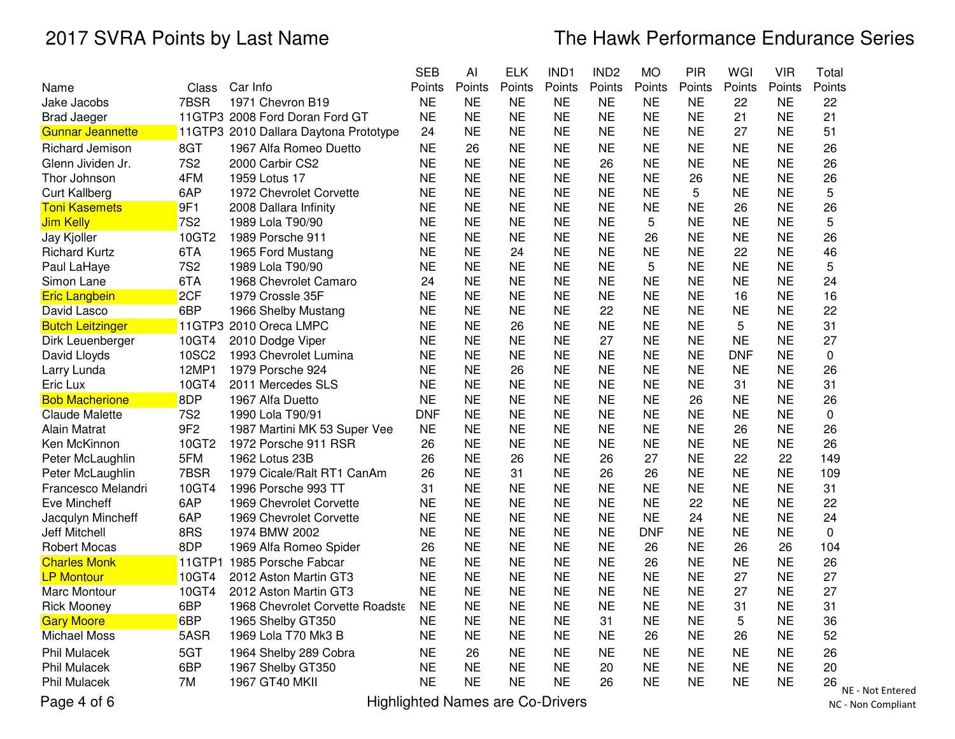|                         |                 |                                       | <b>SEB</b> | Al        | <b>ELK</b>    | IND <sub>1</sub> | IND <sub>2</sub> | <b>MO</b>  | <b>PIR</b> | WGI        | <b>VIR</b> | Total     |
|-------------------------|-----------------|---------------------------------------|------------|-----------|---------------|------------------|------------------|------------|------------|------------|------------|-----------|
| Name                    | Class           | Car Info                              | Points     | Points    | Points        | Points           | Points           | Points     | Points     | Points     | Points     | Points    |
| Jake Jacobs             | 7BSR            | 1971 Chevron B19                      | <b>NE</b>  | <b>NE</b> | <b>NE</b>     | <b>NE</b>        | <b>NE</b>        | <b>NE</b>  | <b>NE</b>  | 22         | <b>NE</b>  | 22        |
| <b>Brad Jaeger</b>      |                 | 11GTP3 2008 Ford Doran Ford GT        | <b>NE</b>  | <b>NE</b> | <b>NE</b>     | <b>NE</b>        | <b>NE</b>        | <b>NE</b>  | <b>NE</b>  | 21         | <b>NE</b>  | 21        |
| <b>Gunnar Jeannette</b> |                 | 11GTP3 2010 Dallara Daytona Prototype | 24         | <b>NE</b> | <b>NE</b>     | <b>NE</b>        | <b>NE</b>        | <b>NE</b>  | <b>NE</b>  | 27         | <b>NE</b>  | 51        |
| Richard Jemison         | 8GT             | 1967 Alfa Romeo Duetto                | <b>NE</b>  | 26        | <b>NE</b>     | <b>NE</b>        | <b>NE</b>        | <b>NE</b>  | <b>NE</b>  | <b>NE</b>  | <b>NE</b>  | 26        |
| Glenn Jividen Jr.       | <b>7S2</b>      | 2000 Carbir CS2                       | <b>NE</b>  | <b>NE</b> | <b>NE</b>     | <b>NE</b>        | 26               | <b>NE</b>  | <b>NE</b>  | <b>NE</b>  | <b>NE</b>  | 26        |
| Thor Johnson            | 4FM             | 1959 Lotus 17                         | <b>NE</b>  | <b>NE</b> | <b>NE</b>     | <b>NE</b>        | <b>NE</b>        | <b>NE</b>  | 26         | <b>NE</b>  | <b>NE</b>  | 26        |
| <b>Curt Kallberg</b>    | 6AP             | 1972 Chevrolet Corvette               | <b>NE</b>  | <b>NE</b> | <b>NE</b>     | <b>NE</b>        | <b>NE</b>        | <b>NE</b>  | 5          | <b>NE</b>  | <b>NE</b>  | 5         |
| <b>Toni Kasemets</b>    | 9F1             | 2008 Dallara Infinity                 | <b>NE</b>  | <b>NE</b> | <b>NE</b>     | <b>NE</b>        | <b>NE</b>        | <b>NE</b>  | <b>NE</b>  | 26         | <b>NE</b>  | 26        |
| <b>Jim Kelly</b>        | <b>7S2</b>      | 1989 Lola T90/90                      | <b>NE</b>  | <b>NE</b> | <b>NE</b>     | <b>NE</b>        | <b>NE</b>        | 5          | <b>NE</b>  | <b>NE</b>  | <b>NE</b>  | 5         |
| Jay Kjoller             | 10GT2           | 1989 Porsche 911                      | <b>NE</b>  | <b>NE</b> | <b>NE</b>     | <b>NE</b>        | <b>NE</b>        | 26         | <b>NE</b>  | <b>NE</b>  | <b>NE</b>  | 26        |
| <b>Richard Kurtz</b>    | 6TA             | 1965 Ford Mustang                     | <b>NE</b>  | <b>NE</b> | 24            | <b>NE</b>        | <b>NE</b>        | <b>NE</b>  | <b>NE</b>  | 22         | <b>NE</b>  | 46        |
| Paul LaHaye             | 7S <sub>2</sub> | 1989 Lola T90/90                      | <b>NE</b>  | <b>NE</b> | <b>NE</b>     | <b>NE</b>        | <b>NE</b>        | 5          | <b>NE</b>  | <b>NE</b>  | <b>NE</b>  | 5         |
| Simon Lane              | 6TA             | 1968 Chevrolet Camaro                 | 24         | <b>NE</b> | <b>NE</b>     | <b>NE</b>        | <b>NE</b>        | <b>NE</b>  | <b>NE</b>  | <b>NE</b>  | <b>NE</b>  | 24        |
| <b>Eric Langbein</b>    | 2CF             | 1979 Crossle 35F                      | <b>NE</b>  | <b>NE</b> | <b>NE</b>     | <b>NE</b>        | <b>NE</b>        | <b>NE</b>  | <b>NE</b>  | 16         | <b>NE</b>  | 16        |
| David Lasco             | 6BP             | 1966 Shelby Mustang                   | <b>NE</b>  | <b>NE</b> | <b>NE</b>     | <b>NE</b>        | 22               | <b>NE</b>  | <b>NE</b>  | <b>NE</b>  | <b>NE</b>  | 22        |
| <b>Butch Leitzinger</b> |                 | 11GTP3 2010 Oreca LMPC                | <b>NE</b>  | <b>NE</b> | 26            | <b>NE</b>        | <b>NE</b>        | <b>NE</b>  | <b>NE</b>  | 5          | <b>NE</b>  | 31        |
| Dirk Leuenberger        | 10GT4           | 2010 Dodge Viper                      | <b>NE</b>  | <b>NE</b> | <b>NE</b>     | <b>NE</b>        | 27               | <b>NE</b>  | <b>NE</b>  | <b>NE</b>  | <b>NE</b>  | 27        |
| David Lloyds            | 10SC2           | 1993 Chevrolet Lumina                 | <b>NE</b>  | <b>NE</b> | <b>NE</b>     | <b>NE</b>        | <b>NE</b>        | <b>NE</b>  | <b>NE</b>  | <b>DNF</b> | <b>NE</b>  | 0         |
| Larry Lunda             | 12MP1           | 1979 Porsche 924                      | <b>NE</b>  | <b>NE</b> | 26            | <b>NE</b>        | <b>NE</b>        | <b>NE</b>  | <b>NE</b>  | <b>NE</b>  | <b>NE</b>  | 26        |
| Eric Lux                | 10GT4           | 2011 Mercedes SLS                     | <b>NE</b>  | <b>NE</b> | <b>NE</b>     | <b>NE</b>        | <b>NE</b>        | <b>NE</b>  | <b>NE</b>  | 31         | <b>NE</b>  | 31        |
| <b>Bob Macherione</b>   | 8DP             | 1967 Alfa Duetto                      | <b>NE</b>  | <b>NE</b> | <b>NE</b>     | <b>NE</b>        | <b>NE</b>        | <b>NE</b>  | 26         | <b>NE</b>  | <b>NE</b>  | 26        |
| <b>Claude Malette</b>   | <b>7S2</b>      | 1990 Lola T90/91                      | <b>DNF</b> | <b>NE</b> | <b>NE</b>     | <b>NE</b>        | <b>NE</b>        | <b>NE</b>  | <b>NE</b>  | <b>NE</b>  | <b>NE</b>  | 0         |
| Alain Matrat            | 9F <sub>2</sub> | 1987 Martini MK 53 Super Vee          | <b>NE</b>  | <b>NE</b> | <b>NE</b>     | <b>NE</b>        | <b>NE</b>        | <b>NE</b>  | <b>NE</b>  | 26         | <b>NE</b>  | 26        |
| Ken McKinnon            | 10GT2           | 1972 Porsche 911 RSR                  | 26         | <b>NE</b> | <b>NE</b>     | <b>NE</b>        | <b>NE</b>        | <b>NE</b>  | <b>NE</b>  | <b>NE</b>  | <b>NE</b>  | 26        |
| Peter McLaughlin        | 5FM             | 1962 Lotus 23B                        | 26         | <b>NE</b> | 26            | <b>NE</b>        | 26               | 27         | <b>NE</b>  | 22         | 22         | 149       |
| Peter McLaughlin        | 7BSR            | 1979 Cicale/Ralt RT1 CanAm            | 26         | <b>NE</b> | 31            | <b>NE</b>        | 26               | 26         | <b>NE</b>  | <b>NE</b>  | <b>NE</b>  | 109       |
| Francesco Melandri      | 10GT4           | 1996 Porsche 993 TT                   | 31         | <b>NE</b> | <b>NE</b>     | <b>NE</b>        | <b>NE</b>        | <b>NE</b>  | <b>NE</b>  | <b>NE</b>  | <b>NE</b>  | 31        |
| Eve Mincheff            | 6AP             | 1969 Chevrolet Corvette               | <b>NE</b>  | <b>NE</b> | <b>NE</b>     | <b>NE</b>        | <b>NE</b>        | <b>NE</b>  | 22         | <b>NE</b>  | <b>NE</b>  | 22        |
| Jacqulyn Mincheff       | 6AP             | 1969 Chevrolet Corvette               | <b>NE</b>  | <b>NE</b> | <b>NE</b>     | <b>NE</b>        | <b>NE</b>        | <b>NE</b>  | 24         | <b>NE</b>  | <b>NE</b>  | 24        |
| Jeff Mitchell           | 8RS             | 1974 BMW 2002                         | <b>NE</b>  | <b>NE</b> | <b>NE</b>     | <b>NE</b>        | <b>NE</b>        | <b>DNF</b> | <b>NE</b>  | <b>NE</b>  | <b>NE</b>  | 0         |
| <b>Robert Mocas</b>     | 8DP             | 1969 Alfa Romeo Spider                | 26         | <b>NE</b> | <b>NE</b>     | <b>NE</b>        | <b>NE</b>        | 26         | <b>NE</b>  | 26         | 26         | 104       |
| <b>Charles Monk</b>     | <b>11GTP1</b>   | 1985 Porsche Fabcar                   | <b>NE</b>  | <b>NE</b> | <b>NE</b>     | <b>NE</b>        | <b>NE</b>        | 26         | <b>NE</b>  | <b>NE</b>  | <b>NE</b>  | 26        |
| <b>LP Montour</b>       | 10GT4           | 2012 Aston Martin GT3                 | <b>NE</b>  | <b>NE</b> | <b>NE</b>     | <b>NE</b>        | <b>NE</b>        | <b>NE</b>  | <b>NE</b>  | 27         | <b>NE</b>  | 27        |
| Marc Montour            | 10GT4           | 2012 Aston Martin GT3                 | <b>NE</b>  | <b>NE</b> | <b>NE</b>     | <b>NE</b>        | <b>NE</b>        | <b>NE</b>  | <b>NE</b>  | 27         | <b>NE</b>  | 27        |
| <b>Rick Mooney</b>      | 6BP             | 1968 Chevrolet Corvette Roadste NE    |            | <b>NE</b> | <b>NE</b>     | <b>NE</b>        | <b>NE</b>        | <b>NE</b>  | <b>NE</b>  | 31         | <b>NE</b>  | 31        |
| <b>Gary Moore</b>       | 6BP             | 1965 Shelby GT350                     | <b>NE</b>  | <b>NE</b> | <b>NE</b>     | <b>NE</b>        | 31               | <b>NE</b>  | <b>NE</b>  | 5          | <b>NE</b>  | 36        |
| <b>Michael Moss</b>     | 5ASR            | 1969 Lola T70 Mk3 B                   | <b>NE</b>  | <b>NE</b> | <b>NE</b>     | <b>NE</b>        | <b>NE</b>        | 26         | <b>NE</b>  | 26         | <b>NE</b>  | 52        |
| <b>Phil Mulacek</b>     | 5GT             | 1964 Shelby 289 Cobra                 | <b>NE</b>  | 26        | <b>NE</b>     | <b>NE</b>        | <b>NE</b>        | <b>NE</b>  | <b>NE</b>  | <b>NE</b>  | <b>NE</b>  | 26        |
| <b>Phil Mulacek</b>     | 6BP             | 1967 Shelby GT350                     | <b>NE</b>  | <b>NE</b> | <b>NE</b>     | <b>NE</b>        | 20               | <b>NE</b>  | <b>NE</b>  | <b>NE</b>  | <b>NE</b>  | 20        |
| Phil Mulacek            | 7M              | 1967 GT40 MKII                        | <b>NE</b>  | <b>NE</b> | $N\mathsf{E}$ | <b>NE</b>        | 26               | <b>NE</b>  | <b>NE</b>  | <b>NE</b>  | <b>NE</b>  | 26        |
|                         |                 | لمتابعات والمارد فالبار               |            |           |               |                  |                  |            |            |            |            | <b>NE</b> |

Page 4 of 6

Highlighted Names are Co-Drivers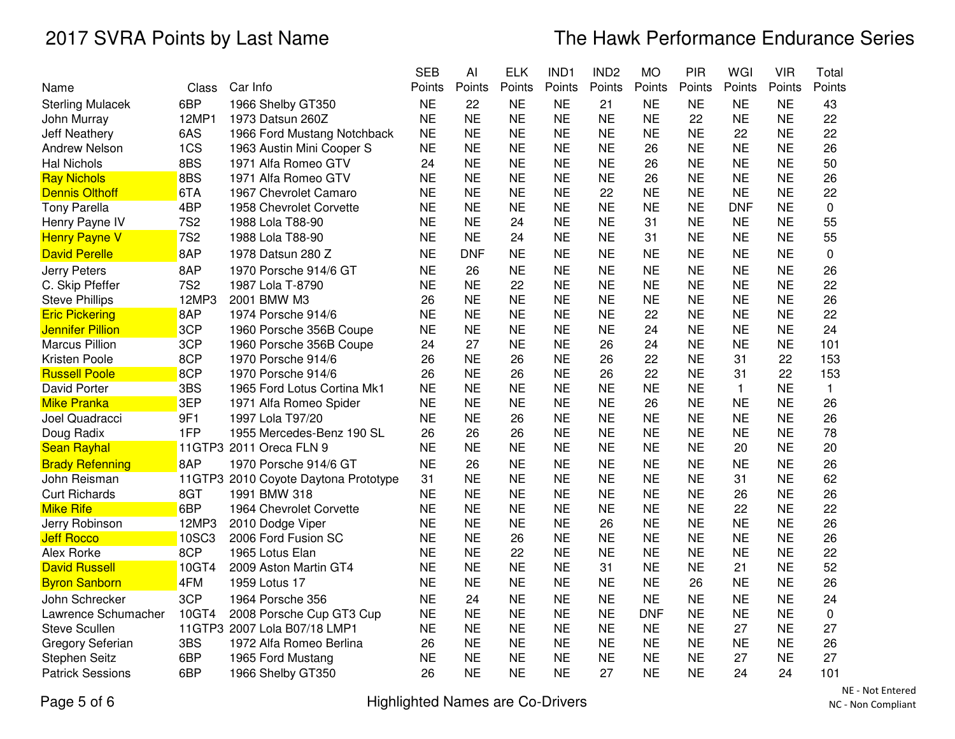|                         |                 |                                      | <b>SEB</b> | AI         | <b>ELK</b> | IND1      | IND <sub>2</sub> | <b>MO</b>  | PIR       | WGI          | <b>VIR</b> | Total        |
|-------------------------|-----------------|--------------------------------------|------------|------------|------------|-----------|------------------|------------|-----------|--------------|------------|--------------|
| Name                    | Class           | Car Info                             | Points     | Points     | Points     | Points    | Points           | Points     | Points    | Points       | Points     | Points       |
| <b>Sterling Mulacek</b> | 6BP             | 1966 Shelby GT350                    | <b>NE</b>  | 22         | <b>NE</b>  | <b>NE</b> | 21               | <b>NE</b>  | <b>NE</b> | <b>NE</b>    | <b>NE</b>  | 43           |
| John Murray             | 12MP1           | 1973 Datsun 260Z                     | <b>NE</b>  | <b>NE</b>  | <b>NE</b>  | <b>NE</b> | <b>NE</b>        | <b>NE</b>  | 22        | <b>NE</b>    | <b>NE</b>  | 22           |
| Jeff Neathery           | 6AS             | 1966 Ford Mustang Notchback          | <b>NE</b>  | <b>NE</b>  | <b>NE</b>  | <b>NE</b> | <b>NE</b>        | <b>NE</b>  | <b>NE</b> | 22           | <b>NE</b>  | 22           |
| <b>Andrew Nelson</b>    | 1CS             | 1963 Austin Mini Cooper S            | <b>NE</b>  | <b>NE</b>  | <b>NE</b>  | <b>NE</b> | <b>NE</b>        | 26         | <b>NE</b> | <b>NE</b>    | <b>NE</b>  | 26           |
| <b>Hal Nichols</b>      | 8BS             | 1971 Alfa Romeo GTV                  | 24         | <b>NE</b>  | <b>NE</b>  | <b>NE</b> | <b>NE</b>        | 26         | <b>NE</b> | <b>NE</b>    | <b>NE</b>  | 50           |
| <b>Ray Nichols</b>      | 8BS             | 1971 Alfa Romeo GTV                  | <b>NE</b>  | <b>NE</b>  | <b>NE</b>  | <b>NE</b> | <b>NE</b>        | 26         | <b>NE</b> | <b>NE</b>    | <b>NE</b>  | 26           |
| <b>Dennis Olthoff</b>   | 6TA             | 1967 Chevrolet Camaro                | <b>NE</b>  | <b>NE</b>  | <b>NE</b>  | <b>NE</b> | 22               | <b>NE</b>  | <b>NE</b> | <b>NE</b>    | <b>NE</b>  | 22           |
| <b>Tony Parella</b>     | 4BP             | 1958 Chevrolet Corvette              | <b>NE</b>  | <b>NE</b>  | <b>NE</b>  | <b>NE</b> | <b>NE</b>        | <b>NE</b>  | <b>NE</b> | <b>DNF</b>   | <b>NE</b>  | $\mathbf 0$  |
| Henry Payne IV          | <b>7S2</b>      | 1988 Lola T88-90                     | <b>NE</b>  | <b>NE</b>  | 24         | <b>NE</b> | <b>NE</b>        | 31         | <b>NE</b> | <b>NE</b>    | <b>NE</b>  | 55           |
| <b>Henry Payne V</b>    | 7S <sub>2</sub> | 1988 Lola T88-90                     | <b>NE</b>  | <b>NE</b>  | 24         | <b>NE</b> | <b>NE</b>        | 31         | <b>NE</b> | <b>NE</b>    | <b>NE</b>  | 55           |
| <b>David Perelle</b>    | 8AP             | 1978 Datsun 280 Z                    | <b>NE</b>  | <b>DNF</b> | <b>NE</b>  | <b>NE</b> | <b>NE</b>        | <b>NE</b>  | <b>NE</b> | <b>NE</b>    | <b>NE</b>  | $\mathbf 0$  |
| Jerry Peters            | 8AP             | 1970 Porsche 914/6 GT                | <b>NE</b>  | 26         | <b>NE</b>  | <b>NE</b> | <b>NE</b>        | <b>NE</b>  | <b>NE</b> | <b>NE</b>    | <b>NE</b>  | 26           |
| C. Skip Pfeffer         | <b>7S2</b>      | 1987 Lola T-8790                     | <b>NE</b>  | <b>NE</b>  | 22         | <b>NE</b> | <b>NE</b>        | <b>NE</b>  | <b>NE</b> | <b>NE</b>    | <b>NE</b>  | 22           |
| <b>Steve Phillips</b>   | 12MP3           | 2001 BMW M3                          | 26         | <b>NE</b>  | <b>NE</b>  | <b>NE</b> | <b>NE</b>        | <b>NE</b>  | <b>NE</b> | <b>NE</b>    | <b>NE</b>  | 26           |
| <b>Eric Pickering</b>   | 8AP             | 1974 Porsche 914/6                   | <b>NE</b>  | <b>NE</b>  | <b>NE</b>  | <b>NE</b> | <b>NE</b>        | 22         | <b>NE</b> | <b>NE</b>    | <b>NE</b>  | 22           |
| <b>Jennifer Pillion</b> | 3CP             | 1960 Porsche 356B Coupe              | <b>NE</b>  | <b>NE</b>  | <b>NE</b>  | <b>NE</b> | <b>NE</b>        | 24         | <b>NE</b> | <b>NE</b>    | <b>NE</b>  | 24           |
| <b>Marcus Pillion</b>   | 3CP             | 1960 Porsche 356B Coupe              | 24         | 27         | <b>NE</b>  | <b>NE</b> | 26               | 24         | <b>NE</b> | <b>NE</b>    | <b>NE</b>  | 101          |
| <b>Kristen Poole</b>    | 8CP             | 1970 Porsche 914/6                   | 26         | <b>NE</b>  | 26         | <b>NE</b> | 26               | 22         | <b>NE</b> | 31           | 22         | 153          |
| <b>Russell Poole</b>    | 8CP             | 1970 Porsche 914/6                   | 26         | <b>NE</b>  | 26         | <b>NE</b> | 26               | 22         | <b>NE</b> | 31           | 22         | 153          |
| David Porter            | 3BS             | 1965 Ford Lotus Cortina Mk1          | <b>NE</b>  | <b>NE</b>  | <b>NE</b>  | <b>NE</b> | <b>NE</b>        | <b>NE</b>  | <b>NE</b> | $\mathbf{1}$ | <b>NE</b>  | $\mathbf{1}$ |
| <b>Mike Pranka</b>      | 3EP             | 1971 Alfa Romeo Spider               | <b>NE</b>  | <b>NE</b>  | <b>NE</b>  | <b>NE</b> | <b>NE</b>        | 26         | <b>NE</b> | <b>NE</b>    | <b>NE</b>  | 26           |
| Joel Quadracci          | 9F1             | 1997 Lola T97/20                     | <b>NE</b>  | <b>NE</b>  | 26         | <b>NE</b> | <b>NE</b>        | <b>NE</b>  | <b>NE</b> | <b>NE</b>    | <b>NE</b>  | 26           |
| Doug Radix              | 1FP             | 1955 Mercedes-Benz 190 SL            | 26         | 26         | 26         | <b>NE</b> | <b>NE</b>        | <b>NE</b>  | <b>NE</b> | <b>NE</b>    | <b>NE</b>  | 78           |
| <b>Sean Rayhal</b>      |                 | 11GTP3 2011 Oreca FLN 9              | <b>NE</b>  | <b>NE</b>  | <b>NE</b>  | <b>NE</b> | <b>NE</b>        | <b>NE</b>  | <b>NE</b> | 20           | <b>NE</b>  | 20           |
| <b>Brady Refenning</b>  | 8AP             | 1970 Porsche 914/6 GT                | <b>NE</b>  | 26         | <b>NE</b>  | <b>NE</b> | <b>NE</b>        | <b>NE</b>  | <b>NE</b> | <b>NE</b>    | <b>NE</b>  | 26           |
| John Reisman            |                 | 11GTP3 2010 Coyote Daytona Prototype | 31         | <b>NE</b>  | <b>NE</b>  | <b>NE</b> | <b>NE</b>        | <b>NE</b>  | <b>NE</b> | 31           | <b>NE</b>  | 62           |
| <b>Curt Richards</b>    | 8GT             | 1991 BMW 318                         | <b>NE</b>  | <b>NE</b>  | <b>NE</b>  | <b>NE</b> | <b>NE</b>        | <b>NE</b>  | <b>NE</b> | 26           | <b>NE</b>  | 26           |
| <b>Mike Rife</b>        | 6BP             | 1964 Chevrolet Corvette              | <b>NE</b>  | <b>NE</b>  | <b>NE</b>  | <b>NE</b> | <b>NE</b>        | <b>NE</b>  | <b>NE</b> | 22           | <b>NE</b>  | 22           |
| Jerry Robinson          | 12MP3           | 2010 Dodge Viper                     | <b>NE</b>  | <b>NE</b>  | <b>NE</b>  | <b>NE</b> | 26               | <b>NE</b>  | <b>NE</b> | <b>NE</b>    | <b>NE</b>  | 26           |
| <b>Jeff Rocco</b>       | 10SC3           | 2006 Ford Fusion SC                  | <b>NE</b>  | <b>NE</b>  | 26         | <b>NE</b> | <b>NE</b>        | <b>NE</b>  | <b>NE</b> | <b>NE</b>    | <b>NE</b>  | 26           |
| Alex Rorke              | 8CP             | 1965 Lotus Elan                      | <b>NE</b>  | <b>NE</b>  | 22         | <b>NE</b> | <b>NE</b>        | <b>NE</b>  | <b>NE</b> | <b>NE</b>    | <b>NE</b>  | 22           |
| <b>David Russell</b>    | 10GT4           | 2009 Aston Martin GT4                | <b>NE</b>  | <b>NE</b>  | <b>NE</b>  | <b>NE</b> | 31               | <b>NE</b>  | <b>NE</b> | 21           | <b>NE</b>  | 52           |
| <b>Byron Sanborn</b>    | 4FM             | 1959 Lotus 17                        | <b>NE</b>  | <b>NE</b>  | <b>NE</b>  | <b>NE</b> | <b>NE</b>        | <b>NE</b>  | 26        | <b>NE</b>    | <b>NE</b>  | 26           |
| John Schrecker          | 3CP             | 1964 Porsche 356                     | <b>NE</b>  | 24         | <b>NE</b>  | <b>NE</b> | <b>NE</b>        | <b>NE</b>  | <b>NE</b> | <b>NE</b>    | <b>NE</b>  | 24           |
| Lawrence Schumacher     | 10GT4           | 2008 Porsche Cup GT3 Cup             | <b>NE</b>  | <b>NE</b>  | <b>NE</b>  | <b>NE</b> | <b>NE</b>        | <b>DNF</b> | <b>NE</b> | <b>NE</b>    | <b>NE</b>  | $\mathbf 0$  |
| <b>Steve Scullen</b>    |                 | 11GTP3 2007 Lola B07/18 LMP1         | <b>NE</b>  | <b>NE</b>  | <b>NE</b>  | <b>NE</b> | <b>NE</b>        | <b>NE</b>  | <b>NE</b> | 27           | <b>NE</b>  | 27           |
| <b>Gregory Seferian</b> | 3BS             | 1972 Alfa Romeo Berlina              | 26         | <b>NE</b>  | <b>NE</b>  | <b>NE</b> | <b>NE</b>        | <b>NE</b>  | <b>NE</b> | <b>NE</b>    | <b>NE</b>  | 26           |
| <b>Stephen Seitz</b>    | 6BP             | 1965 Ford Mustang                    | <b>NE</b>  | <b>NE</b>  | <b>NE</b>  | <b>NE</b> | <b>NE</b>        | <b>NE</b>  | <b>NE</b> | 27           | <b>NE</b>  | 27           |
| <b>Patrick Sessions</b> | 6BP             | 1966 Shelby GT350                    | 26         | <b>NE</b>  | <b>NE</b>  | <b>NE</b> | 27               | <b>NE</b>  | <b>NE</b> | 24           | 24         | 101          |